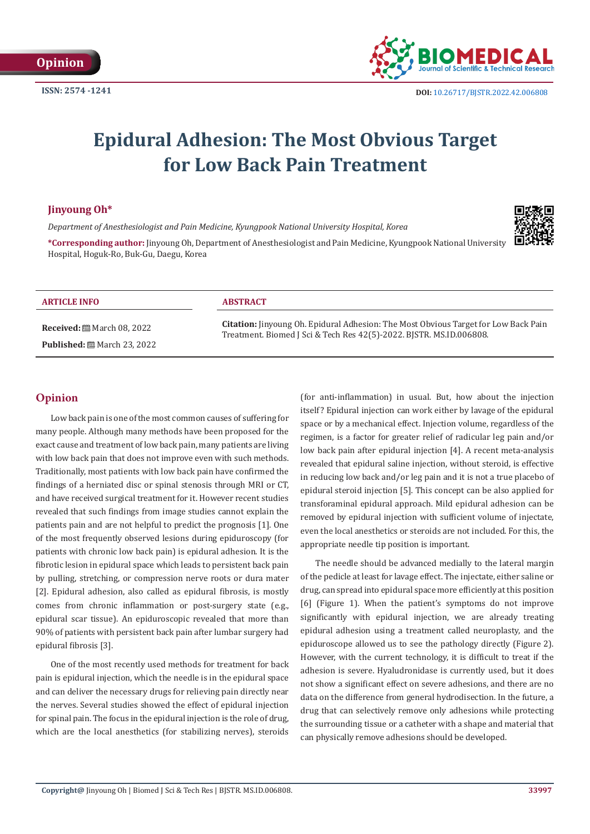

# **Epidural Adhesion: The Most Obvious Target for Low Back Pain Treatment**

#### **Jinyoung Oh\***

*Department of Anesthesiologist and Pain Medicine, Kyungpook National University Hospital, Korea*



**\*Corresponding author:** Jinyoung Oh, Department of Anesthesiologist and Pain Medicine, Kyungpook National University Hospital, Hoguk-Ro, Buk-Gu, Daegu, Korea

#### **ARTICLE INFO ABSTRACT**

**Received:** March 08, 2022 **Published:** ■ March 23, 2022

**Citation:** Jinyoung Oh. Epidural Adhesion: The Most Obvious Target for Low Back Pain Treatment. Biomed J Sci & Tech Res 42(5)-2022. BJSTR. MS.ID.006808.

## **Opinion**

Low back pain is one of the most common causes of suffering for many people. Although many methods have been proposed for the exact cause and treatment of low back pain, many patients are living with low back pain that does not improve even with such methods. Traditionally, most patients with low back pain have confirmed the findings of a herniated disc or spinal stenosis through MRI or CT, and have received surgical treatment for it. However recent studies revealed that such findings from image studies cannot explain the patients pain and are not helpful to predict the prognosis [1]. One of the most frequently observed lesions during epiduroscopy (for patients with chronic low back pain) is epidural adhesion. It is the fibrotic lesion in epidural space which leads to persistent back pain by pulling, stretching, or compression nerve roots or dura mater [2]. Epidural adhesion, also called as epidural fibrosis, is mostly comes from chronic inflammation or post-surgery state (e.g., epidural scar tissue). An epiduroscopic revealed that more than 90% of patients with persistent back pain after lumbar surgery had epidural fibrosis [3].

One of the most recently used methods for treatment for back pain is epidural injection, which the needle is in the epidural space and can deliver the necessary drugs for relieving pain directly near the nerves. Several studies showed the effect of epidural injection for spinal pain. The focus in the epidural injection is the role of drug, which are the local anesthetics (for stabilizing nerves), steroids

(for anti-inflammation) in usual. But, how about the injection itself? Epidural injection can work either by lavage of the epidural space or by a mechanical effect. Injection volume, regardless of the regimen, is a factor for greater relief of radicular leg pain and/or low back pain after epidural injection [4]. A recent meta-analysis revealed that epidural saline injection, without steroid, is effective in reducing low back and/or leg pain and it is not a true placebo of epidural steroid injection [5]. This concept can be also applied for transforaminal epidural approach. Mild epidural adhesion can be removed by epidural injection with sufficient volume of injectate, even the local anesthetics or steroids are not included. For this, the appropriate needle tip position is important.

The needle should be advanced medially to the lateral margin of the pedicle at least for lavage effect. The injectate, either saline or drug, can spread into epidural space more efficiently at this position [6] (Figure 1). When the patient's symptoms do not improve significantly with epidural injection, we are already treating epidural adhesion using a treatment called neuroplasty, and the epiduroscope allowed us to see the pathology directly (Figure 2). However, with the current technology, it is difficult to treat if the adhesion is severe. Hyaludronidase is currently used, but it does not show a significant effect on severe adhesions, and there are no data on the difference from general hydrodisection. In the future, a drug that can selectively remove only adhesions while protecting the surrounding tissue or a catheter with a shape and material that can physically remove adhesions should be developed.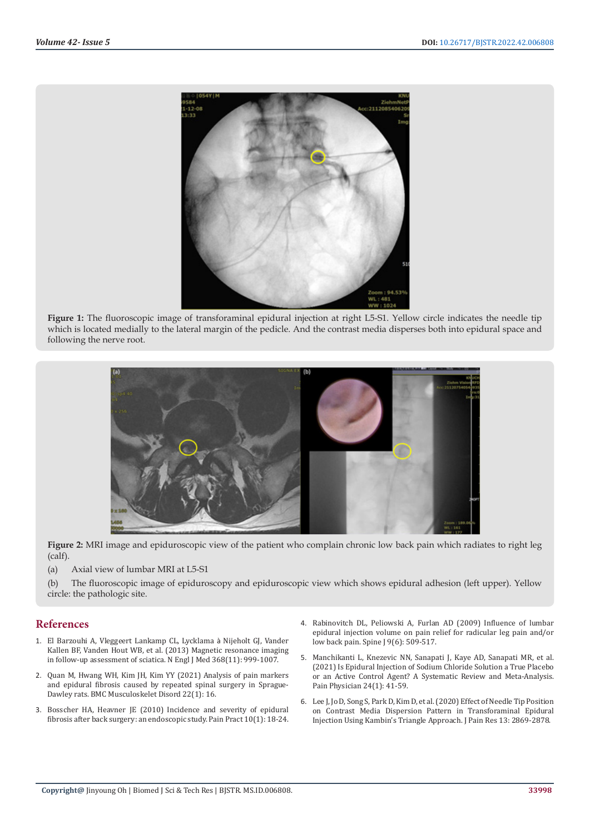

**Figure 1:** The fluoroscopic image of transforaminal epidural injection at right L5-S1. Yellow circle indicates the needle tip which is located medially to the lateral margin of the pedicle. And the contrast media disperses both into epidural space and following the nerve root.



**Figure 2:** MRI image and epiduroscopic view of the patient who complain chronic low back pain which radiates to right leg (calf).

(a) Axial view of lumbar MRI at L5-S1

(b) The fluoroscopic image of epiduroscopy and epiduroscopic view which shows epidural adhesion (left upper). Yellow circle: the pathologic site.

#### **References**

- 1. [El Barzouhi A, Vleggeert Lankamp CL, Lycklama](https://pubmed.ncbi.nlm.nih.gov/23484826/) à Nijeholt GJ, Vander [Kallen BF, Vanden Hout WB, et al. \(2013\) Magnetic resonance imaging](https://pubmed.ncbi.nlm.nih.gov/23484826/)  [in follow-up assessment of sciatica. N Engl J Med 368\(11\): 999-1007](https://pubmed.ncbi.nlm.nih.gov/23484826/).
- 2. [Quan M, Hwang WH, Kim JH, Kim YY \(2021\) Analysis of pain markers](https://pubmed.ncbi.nlm.nih.gov/33402133/)  [and epidural fibrosis caused by repeated spinal surgery in Sprague-](https://pubmed.ncbi.nlm.nih.gov/33402133/)[Dawley rats. BMC Musculoskelet Disord 22\(1\): 16.](https://pubmed.ncbi.nlm.nih.gov/33402133/)
- 3. Bosscher HA, Heavner JE (2010) Incidence and severity of epidural [fibrosis after back surgery: an endoscopic study. Pain Pract 10\(1\): 18-24.](https://pubmed.ncbi.nlm.nih.gov/19735365/)
- 4. [Rabinovitch DL, Peliowski A, Furlan AD \(2009\) Influence of lumbar](https://pubmed.ncbi.nlm.nih.gov/19398387/) [epidural injection volume on pain relief for radicular leg pain and/or](https://pubmed.ncbi.nlm.nih.gov/19398387/) [low back pain. Spine J 9\(6\): 509-517.](https://pubmed.ncbi.nlm.nih.gov/19398387/)
- 5. [Manchikanti L, Knezevic NN, Sanapati J, Kaye AD, Sanapati MR, et al.](https://pubmed.ncbi.nlm.nih.gov/33400427/) [\(2021\) Is Epidural Injection of Sodium Chloride Solution a True Placebo](https://pubmed.ncbi.nlm.nih.gov/33400427/) [or an Active Control Agent? A Systematic Review and Meta-Analysis.](https://pubmed.ncbi.nlm.nih.gov/33400427/) [Pain Physician 24\(1\): 41-59.](https://pubmed.ncbi.nlm.nih.gov/33400427/)
- 6. [Lee J, Jo D, Song S, Park D, Kim D, et al. \(2020\) Effect of Needle Tip Position](https://www.ncbi.nlm.nih.gov/pmc/articles/PMC7667514/) [on Contrast Media Dispersion Pattern in Transforaminal Epidural](https://www.ncbi.nlm.nih.gov/pmc/articles/PMC7667514/) [Injection Using Kambin's Triangle Approach. J Pain Res 13: 2869-2878.](https://www.ncbi.nlm.nih.gov/pmc/articles/PMC7667514/)